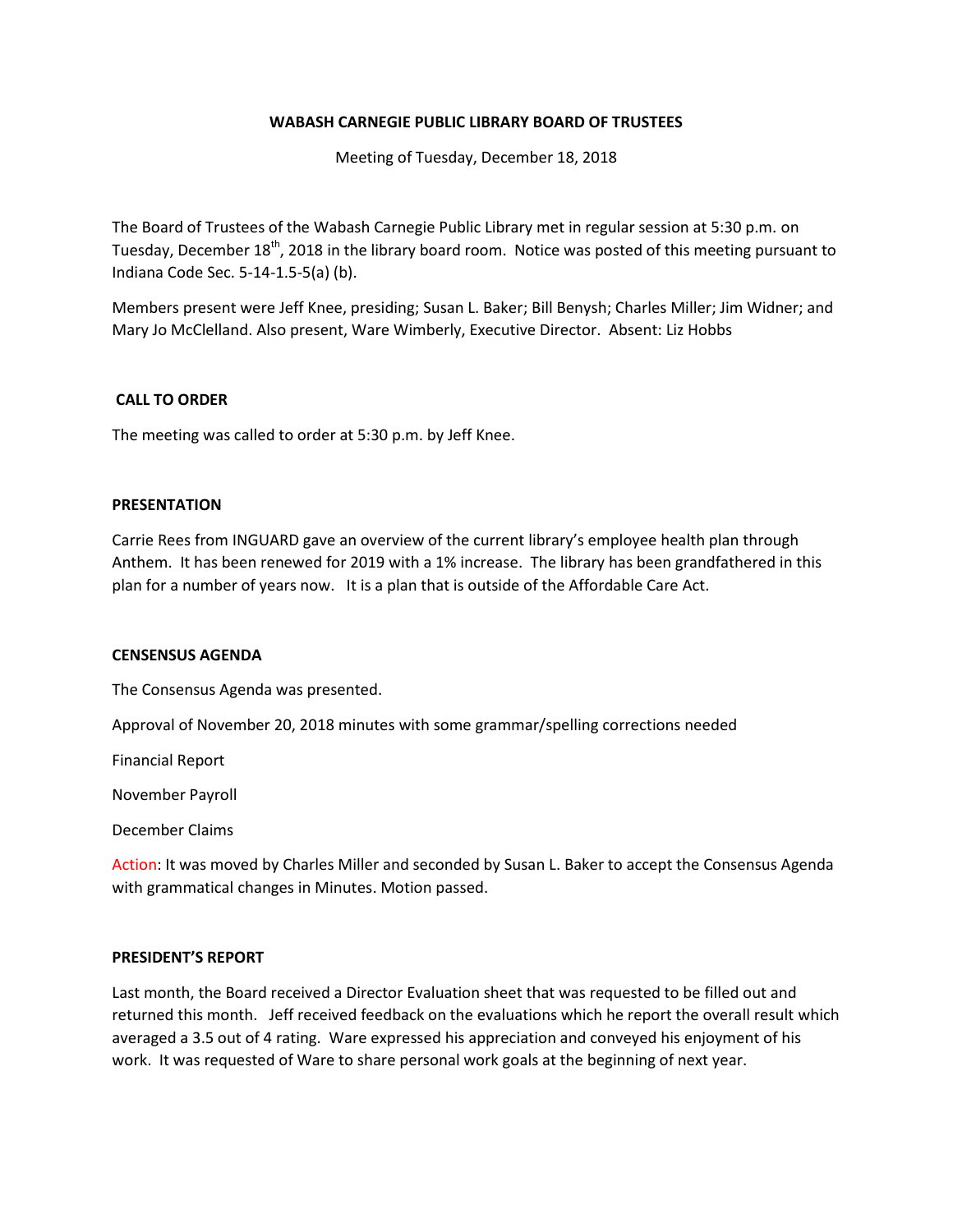#### **WABASH CARNEGIE PUBLIC LIBRARY BOARD OF TRUSTEES**

Meeting of Tuesday, December 18, 2018

The Board of Trustees of the Wabash Carnegie Public Library met in regular session at 5:30 p.m. on Tuesday, December 18<sup>th</sup>, 2018 in the library board room. Notice was posted of this meeting pursuant to Indiana Code Sec. 5-14-1.5-5(a) (b).

Members present were Jeff Knee, presiding; Susan L. Baker; Bill Benysh; Charles Miller; Jim Widner; and Mary Jo McClelland. Also present, Ware Wimberly, Executive Director. Absent: Liz Hobbs

#### **CALL TO ORDER**

The meeting was called to order at 5:30 p.m. by Jeff Knee.

#### **PRESENTATION**

Carrie Rees from INGUARD gave an overview of the current library's employee health plan through Anthem. It has been renewed for 2019 with a 1% increase. The library has been grandfathered in this plan for a number of years now. It is a plan that is outside of the Affordable Care Act.

#### **CENSENSUS AGENDA**

The Consensus Agenda was presented.

Approval of November 20, 2018 minutes with some grammar/spelling corrections needed

Financial Report

November Payroll

December Claims

Action: It was moved by Charles Miller and seconded by Susan L. Baker to accept the Consensus Agenda with grammatical changes in Minutes. Motion passed.

#### **PRESIDENT'S REPORT**

Last month, the Board received a Director Evaluation sheet that was requested to be filled out and returned this month. Jeff received feedback on the evaluations which he report the overall result which averaged a 3.5 out of 4 rating. Ware expressed his appreciation and conveyed his enjoyment of his work. It was requested of Ware to share personal work goals at the beginning of next year.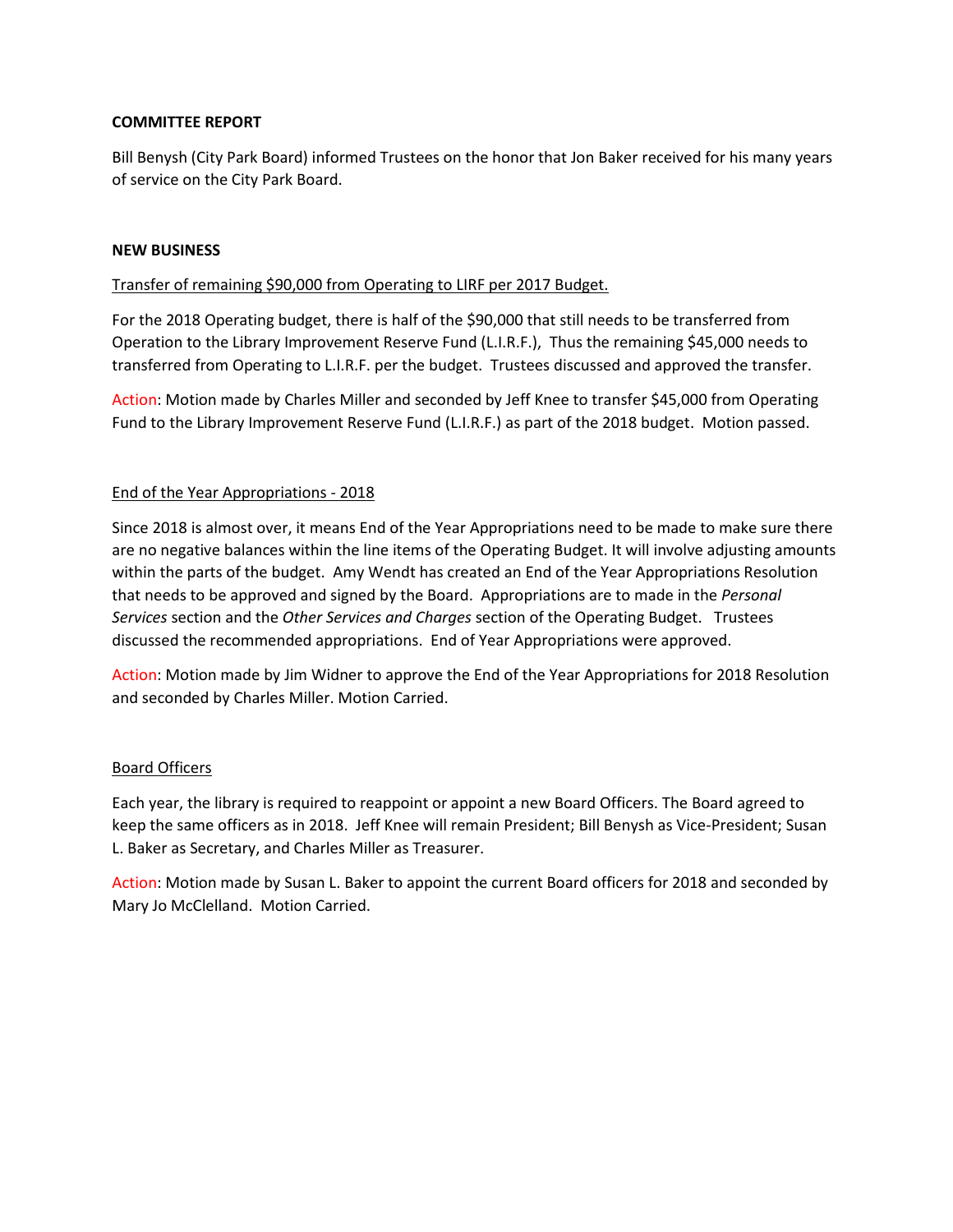## **COMMITTEE REPORT**

Bill Benysh (City Park Board) informed Trustees on the honor that Jon Baker received for his many years of service on the City Park Board.

## **NEW BUSINESS**

# Transfer of remaining \$90,000 from Operating to LIRF per 2017 Budget.

For the 2018 Operating budget, there is half of the \$90,000 that still needs to be transferred from Operation to the Library Improvement Reserve Fund (L.I.R.F.), Thus the remaining \$45,000 needs to transferred from Operating to L.I.R.F. per the budget. Trustees discussed and approved the transfer.

Action: Motion made by Charles Miller and seconded by Jeff Knee to transfer \$45,000 from Operating Fund to the Library Improvement Reserve Fund (L.I.R.F.) as part of the 2018 budget. Motion passed.

# End of the Year Appropriations - 2018

Since 2018 is almost over, it means End of the Year Appropriations need to be made to make sure there are no negative balances within the line items of the Operating Budget. It will involve adjusting amounts within the parts of the budget. Amy Wendt has created an End of the Year Appropriations Resolution that needs to be approved and signed by the Board. Appropriations are to made in the *Personal Services* section and the *Other Services and Charges* section of the Operating Budget. Trustees discussed the recommended appropriations. End of Year Appropriations were approved.

Action: Motion made by Jim Widner to approve the End of the Year Appropriations for 2018 Resolution and seconded by Charles Miller. Motion Carried.

## Board Officers

Each year, the library is required to reappoint or appoint a new Board Officers. The Board agreed to keep the same officers as in 2018. Jeff Knee will remain President; Bill Benysh as Vice-President; Susan L. Baker as Secretary, and Charles Miller as Treasurer.

Action: Motion made by Susan L. Baker to appoint the current Board officers for 2018 and seconded by Mary Jo McClelland. Motion Carried.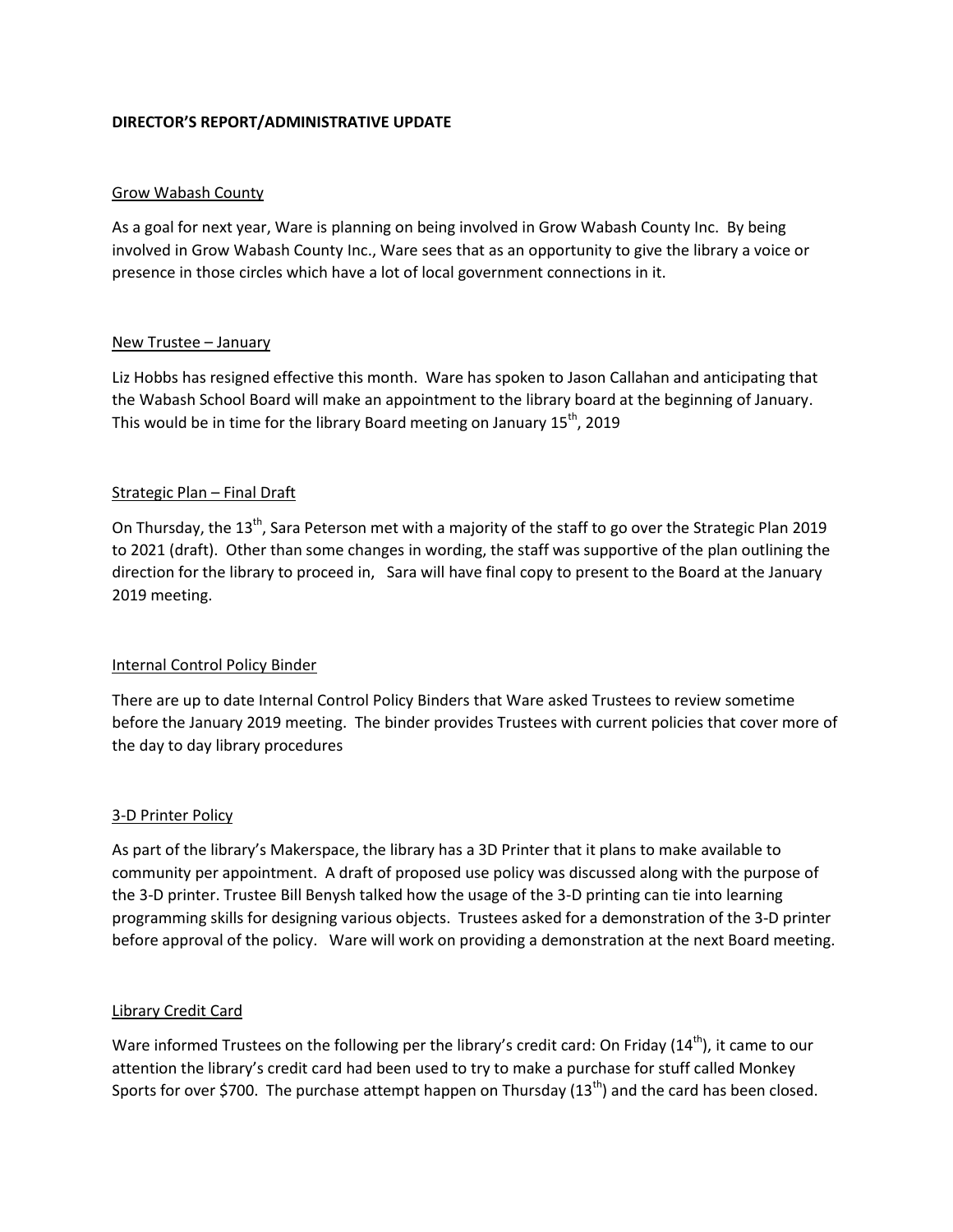## **DIRECTOR'S REPORT/ADMINISTRATIVE UPDATE**

## Grow Wabash County

As a goal for next year, Ware is planning on being involved in Grow Wabash County Inc. By being involved in Grow Wabash County Inc., Ware sees that as an opportunity to give the library a voice or presence in those circles which have a lot of local government connections in it.

## New Trustee – January

Liz Hobbs has resigned effective this month. Ware has spoken to Jason Callahan and anticipating that the Wabash School Board will make an appointment to the library board at the beginning of January. This would be in time for the library Board meeting on January 15<sup>th</sup>, 2019

# Strategic Plan – Final Draft

On Thursday, the 13<sup>th</sup>, Sara Peterson met with a majority of the staff to go over the Strategic Plan 2019 to 2021 (draft). Other than some changes in wording, the staff was supportive of the plan outlining the direction for the library to proceed in, Sara will have final copy to present to the Board at the January 2019 meeting.

## Internal Control Policy Binder

There are up to date Internal Control Policy Binders that Ware asked Trustees to review sometime before the January 2019 meeting. The binder provides Trustees with current policies that cover more of the day to day library procedures

## 3-D Printer Policy

As part of the library's Makerspace, the library has a 3D Printer that it plans to make available to community per appointment. A draft of proposed use policy was discussed along with the purpose of the 3-D printer. Trustee Bill Benysh talked how the usage of the 3-D printing can tie into learning programming skills for designing various objects. Trustees asked for a demonstration of the 3-D printer before approval of the policy. Ware will work on providing a demonstration at the next Board meeting.

## Library Credit Card

Ware informed Trustees on the following per the library's credit card: On Friday  $(14<sup>th</sup>)$ , it came to our attention the library's credit card had been used to try to make a purchase for stuff called Monkey Sports for over \$700. The purchase attempt happen on Thursday (13<sup>th</sup>) and the card has been closed.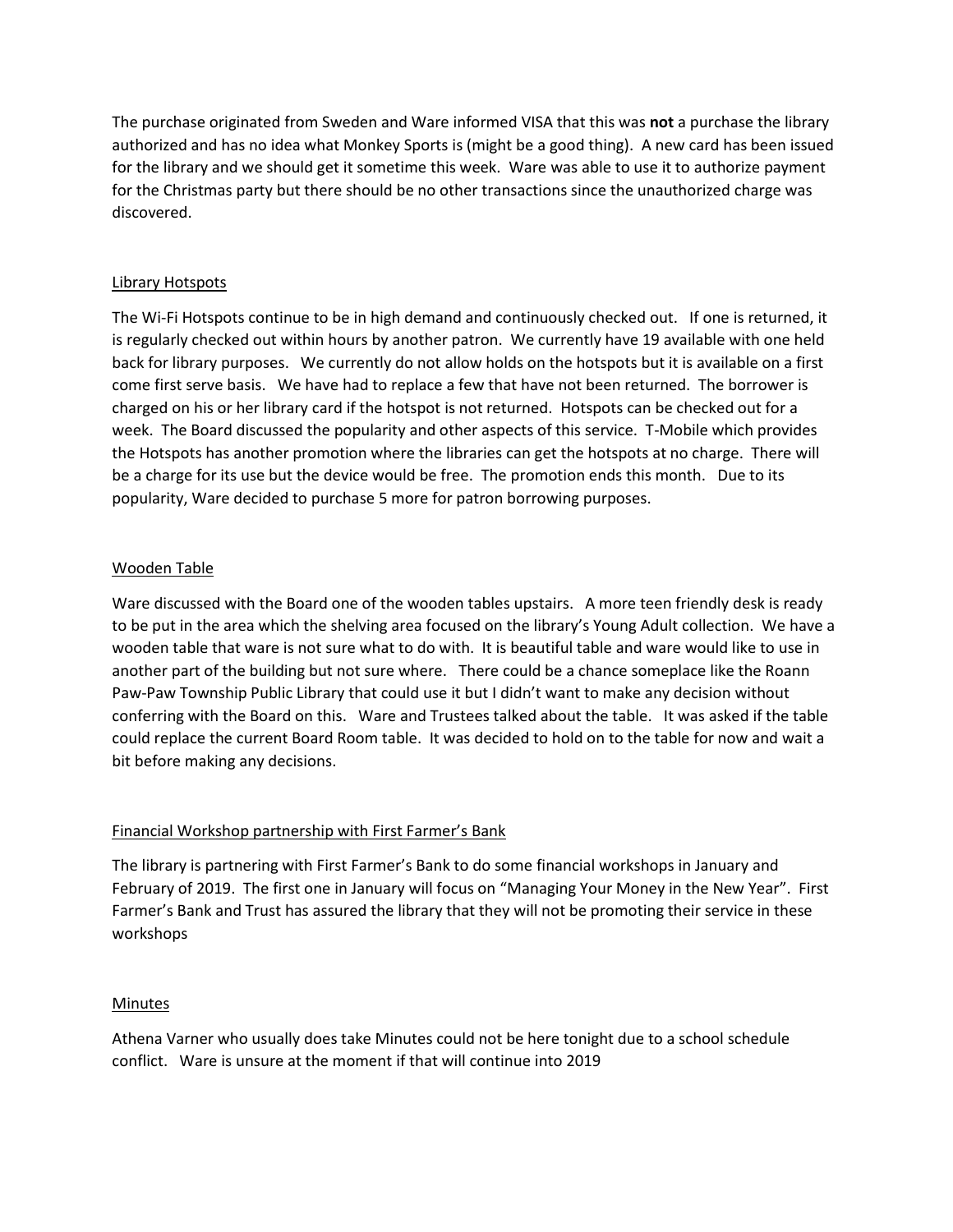The purchase originated from Sweden and Ware informed VISA that this was **not** a purchase the library authorized and has no idea what Monkey Sports is (might be a good thing). A new card has been issued for the library and we should get it sometime this week. Ware was able to use it to authorize payment for the Christmas party but there should be no other transactions since the unauthorized charge was discovered.

## Library Hotspots

The Wi-Fi Hotspots continue to be in high demand and continuously checked out. If one is returned, it is regularly checked out within hours by another patron. We currently have 19 available with one held back for library purposes. We currently do not allow holds on the hotspots but it is available on a first come first serve basis. We have had to replace a few that have not been returned. The borrower is charged on his or her library card if the hotspot is not returned. Hotspots can be checked out for a week. The Board discussed the popularity and other aspects of this service. T-Mobile which provides the Hotspots has another promotion where the libraries can get the hotspots at no charge. There will be a charge for its use but the device would be free. The promotion ends this month. Due to its popularity, Ware decided to purchase 5 more for patron borrowing purposes.

# Wooden Table

Ware discussed with the Board one of the wooden tables upstairs. A more teen friendly desk is ready to be put in the area which the shelving area focused on the library's Young Adult collection. We have a wooden table that ware is not sure what to do with. It is beautiful table and ware would like to use in another part of the building but not sure where. There could be a chance someplace like the Roann Paw-Paw Township Public Library that could use it but I didn't want to make any decision without conferring with the Board on this. Ware and Trustees talked about the table. It was asked if the table could replace the current Board Room table. It was decided to hold on to the table for now and wait a bit before making any decisions.

## Financial Workshop partnership with First Farmer's Bank

The library is partnering with First Farmer's Bank to do some financial workshops in January and February of 2019. The first one in January will focus on "Managing Your Money in the New Year". First Farmer's Bank and Trust has assured the library that they will not be promoting their service in these workshops

## Minutes

Athena Varner who usually does take Minutes could not be here tonight due to a school schedule conflict. Ware is unsure at the moment if that will continue into 2019